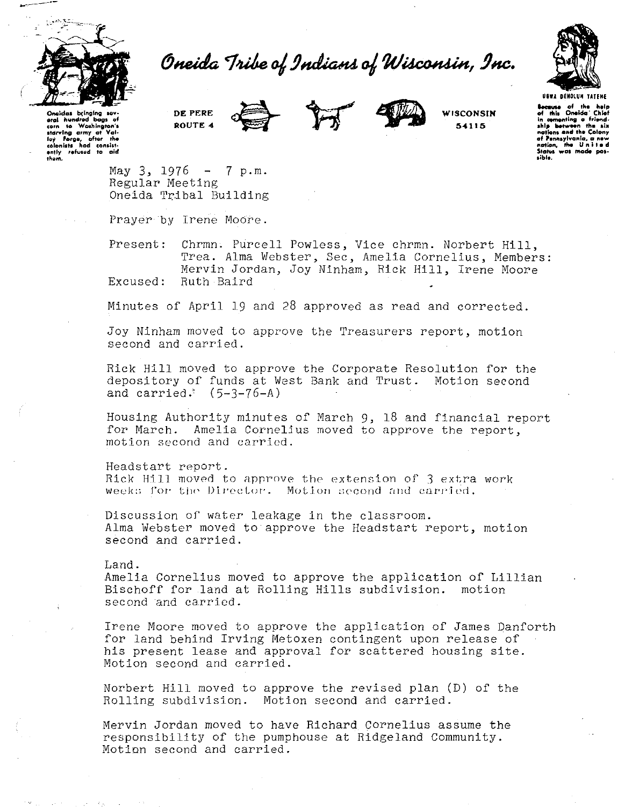

Oneida Tribe of Indians of Wisconsin, Inc.



Oneidas bringing sev **oral hundred bags** of<br>corn to Washington's **Jtalrving army at Val-**<br>loy Forge, after the<br>colonists had consist-<br>ently refused to aid<br>them. **DE PERE ROUTE 4** 





**WISCONSIN 54115** 

**Because of the help**<br>of this Oneida Chief **of this Onaida Chlef**<br>In comenting a friend **ahl, b.tw"n ttt. ala notlona aAd th• Colony of P•nl'lt11¥onla, a n•w ncrtlon, Itt. U n 1 t • d station, the Unit tibl•.** 

May  $3$ ,  $1976 - 7$  p.m. Regular Meeting Oneida Tribal Building

Prayer by Irene Moore.

Present: Chrmn. Purcell Powless, Vice chrmn. Norbert Hill, Trea. Alma Webster, *Sec,* Amelia Cornelius, Members: Mervin Jordan, Joy Ninham, Rick Hill, Irene Moore Excused: Ruth Baird

Minutes of April 19 and 28 approved as read and corrected.

Joy Ninham moved to approve the Treasurers report, motion second and carried.

Rick Hill moved to approve *the* Corporate Resolution for *the*  depository of funds at West Bank and Trust. and carried.'  $(5-3-76-A)$ 

Housing Authority minutes of March 9, 18 and financial report for March. Amelia Corneljus moved to approve *the* report, motion second and carried.

Headstart report. Rick Hill moved to approve *the* extension of 3 extra work weeks for the Director. Motion second and carried.

Discussion of water leakage in the classroom. Alma Webster moved to approve *the* Headstart report, motion second and carried.

Land.

Amelia Cornelius moved to approve *the* application of Lillian Bischoff for land at Rolling Hills subdivision. motion second and carried.

Irene Moore moved to approve *the* application of James Danforth for land behind Irving Metoxen contingent upon release of his present lease and approval for scattered housing site. Motion second and carried.

Norbert Hill moved to approve *the* revised plan (D) of *the*  Rolling subdivision. Motion second and carried.

Mervin Jordan moved to have Richard Cornelius assume the responsibility of the pumphouse at Ridgeland Community. Motion second and carried.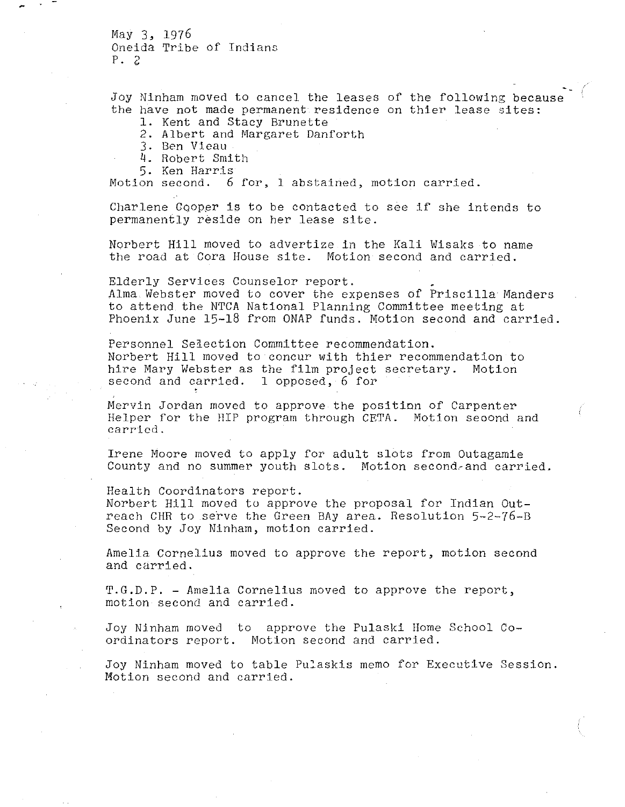May 3, 1976 Oneida Tribe of Indians P. *2* 

Joy Ninham moved to cancel the leases of the following because the have not made permanent residence on thier lease sites:

1. Kent and Stacy Brunette

2. Albert and Margaret Danforth

3. Ben Vieau

4. Robert Smith

5. Ken Harris

Motion second. 6 for, l abstained, motion carried.

Charlene Cooper is to be contacted to see if she intends to permanently reside on her lease site.

Norbert Hill moved to advertize in the Kali Wisaks to name the road at Cora House site. Motion second and carried.

Elderly Services Counselor report. Alma Webster moved to cover the expenses of Priscilla Manders to attend the NTCA National Planning Committee meeting at Phoenix June 15-18 from ONAP funds. Motion second and carried.

Personnel Seiection Committee recommendation. Norbert Hill moved to concur with thier recommendation to hire Mary Webster as the film project secretary. Motion second and carried. 1 opposed, 6 for

Mervin Jordan moved to approve the position of Carpenter Helper for the HIP program through CETA. Motion seoond and carried.

Irene Moore moved to apply for adult slots from Outagamie County and no summer youth slots. Motion second-and carried.

Health Coordinators report. Norbert Hill moved to approve the proposal for Indian Outreach CHR to serve the Green BAy area. Resolution  $5-2-76-B$ Second by Joy Ninham, motion carried.

Amelia Cornelius moved to approve the report, motion second and carried.

T.G.D.P. - Amelia Cornelius moved to approve the report, motion second and carried.

Joy Ninham moved to approve the Pulaski Home School Coordinators report. Motion second and carried.

Joy Ninham moved to table Pulaskis memo for Executive Session. Motion second and carried.